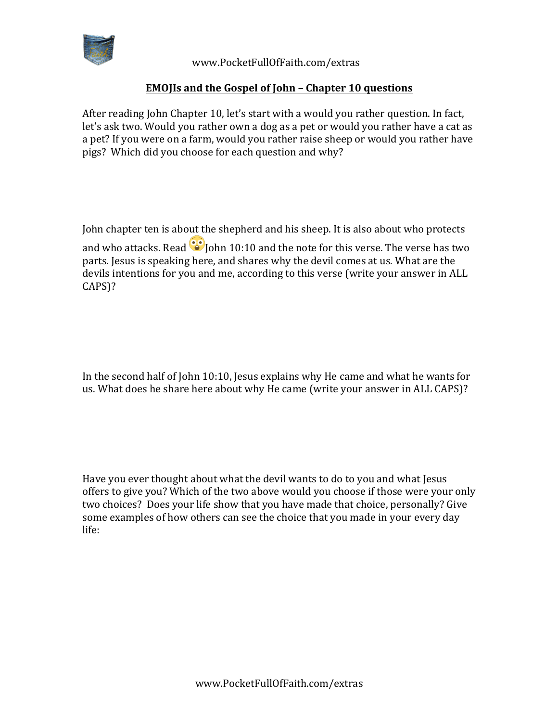

 www.PocketFullOfFaith.com/extras

## **EMOJIs** and the Gospel of John – Chapter 10 questions

After reading John Chapter 10, let's start with a would you rather question. In fact, let's ask two. Would you rather own a dog as a pet or would you rather have a cat as a pet? If you were on a farm, would you rather raise sheep or would you rather have pigs? Which did you choose for each question and why?

John chapter ten is about the shepherd and his sheep. It is also about who protects and who attacks. Read  $\odot$  John 10:10 and the note for this verse. The verse has two parts. Jesus is speaking here, and shares why the devil comes at us. What are the devils intentions for you and me, according to this verse (write your answer in ALL CAPS)?

In the second half of John 10:10, Jesus explains why He came and what he wants for us. What does he share here about why He came (write your answer in ALL CAPS)?

Have you ever thought about what the devil wants to do to you and what Jesus offers to give you? Which of the two above would you choose if those were your only two choices? Does your life show that you have made that choice, personally? Give some examples of how others can see the choice that you made in your every day life: